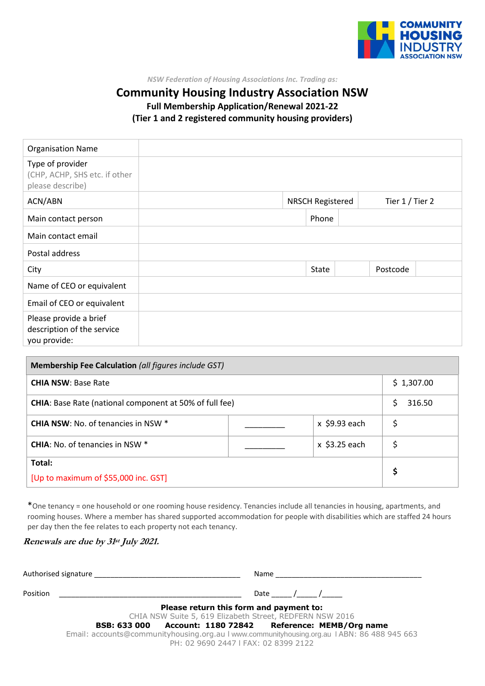

*NSW Federation of Housing Associations Inc. Trading as:*

## **Community Housing Industry Association NSW Full Membership Application/Renewal 2021-22 (Tier 1 and 2 registered community housing providers)**

| <b>Organisation Name</b>                                              |       |                                            |          |  |
|-----------------------------------------------------------------------|-------|--------------------------------------------|----------|--|
| Type of provider<br>(CHP, ACHP, SHS etc. if other<br>please describe) |       |                                            |          |  |
| ACN/ABN                                                               |       | Tier 1 / Tier 2<br><b>NRSCH Registered</b> |          |  |
| Main contact person                                                   | Phone |                                            |          |  |
| Main contact email                                                    |       |                                            |          |  |
| Postal address                                                        |       |                                            |          |  |
| City                                                                  | State |                                            | Postcode |  |
| Name of CEO or equivalent                                             |       |                                            |          |  |
| Email of CEO or equivalent                                            |       |                                            |          |  |
| Please provide a brief<br>description of the service<br>you provide:  |       |                                            |          |  |

| <b>Membership Fee Calculation</b> (all figures include GST)    |  |                 |    |            |  |  |
|----------------------------------------------------------------|--|-----------------|----|------------|--|--|
| <b>CHIA NSW: Base Rate</b>                                     |  |                 |    | \$1,307.00 |  |  |
| <b>CHIA:</b> Base Rate (national component at 50% of full fee) |  |                 | Ś  | 316.50     |  |  |
| <b>CHIA NSW: No. of tenancies in NSW *</b>                     |  | $x$ \$9.93 each |    |            |  |  |
| <b>CHIA:</b> No. of tenancies in NSW *                         |  | $x$ \$3.25 each |    |            |  |  |
| Total:                                                         |  |                 | \$ |            |  |  |
| [Up to maximum of \$55,000 inc. GST]                           |  |                 |    |            |  |  |

\*One tenancy = one household or one rooming house residency. Tenancies include all tenancies in housing, apartments, and rooming houses. Where a member has shared supported accommodation for people with disabilities which are staffed 24 hours per day then the fee relates to each property not each tenancy.

#### **Renewals are due by 31 st July 2021.**

|          | Authorised signature <b>Example 2018</b><br>Name                                                                                    |
|----------|-------------------------------------------------------------------------------------------------------------------------------------|
| Position | Date / /                                                                                                                            |
|          | Please return this form and payment to:                                                                                             |
|          | CHIA NSW Suite 5, 619 Elizabeth Street, REDFERN NSW 2016                                                                            |
|          | BSB: 633 000 Account: 1180 72842 Reference: MEMB/Org name                                                                           |
|          | Email: accounts@communityhousing.org.au I www.communityhousing.org.au I ABN: 86 488 945 663<br>PH: 02 9690 2447   FAX: 02 8399 2122 |